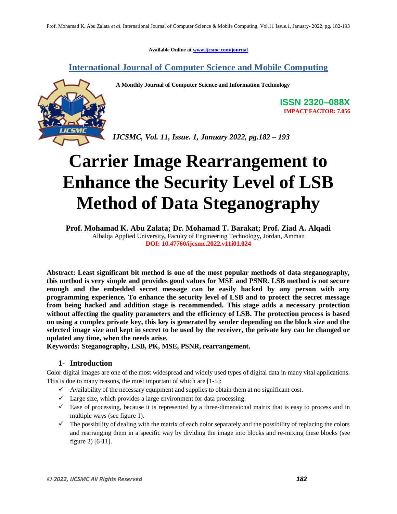**Available Online at [www.ijcsmc.com/journal](https://ijcsmc.com/journal)**

**International Journal of Computer Science and Mobile Computing**

 **A Monthly Journal of Computer Science and Information Technology**



**ISSN 2320–088X IMPACT FACTOR: 7.056**

*IJCSMC, Vol. 11, Issue. 1, January 2022, pg.182 – 193*

# **Carrier Image Rearrangement to Enhance the Security Level of LSB Method of Data Steganography**

**Prof. Mohamad K. Abu Zalata; Dr. Mohamad T. Barakat; Prof. Ziad A. Alqadi** Albalqa Applied University**,** Faculty of Engineering Technology**,** Jordan, Amman **DOI: 10.47760/ijcsmc.2022.v11i01.024**

**Abstract: Least significant bit method is one of the most popular methods of data steganography, this method is very simple and provides good values for MSE and PSNR. LSB method is not secure enough and the embedded secret message can be easily hacked by any person with any programming experience. To enhance the security level of LSB and to protect the secret message from being hacked and addition stage is recommended. This stage adds a necessary protection without affecting the quality parameters and the efficiency of LSB. The protection process is based on using a complex private key, this key is generated by sender depending on the block size and the selected image size and kept in secret to be used by the receiver, the private key can be changed or updated any time, when the needs arise.**

**Keywords: Steganography, LSB, PK, MSE, PSNR, rearrangement.** 

#### **1- Introduction**

Color digital images are one of the most widespread and widely used types of digital data in many vital applications. This is due to many reasons, the most important of which are [1-5]:

- $\checkmark$  Availability of the necessary equipment and supplies to obtain them at no significant cost.
- $\checkmark$  Large size, which provides a large environment for data processing.
- $\checkmark$  Ease of processing, because it is represented by a three-dimensional matrix that is easy to process and in multiple ways (see figure 1).
- $\checkmark$  The possibility of dealing with the matrix of each color separately and the possibility of replacing the colors and rearranging them in a specific way by dividing the image into blocks and re-mixing these blocks (see figure 2) [6-11].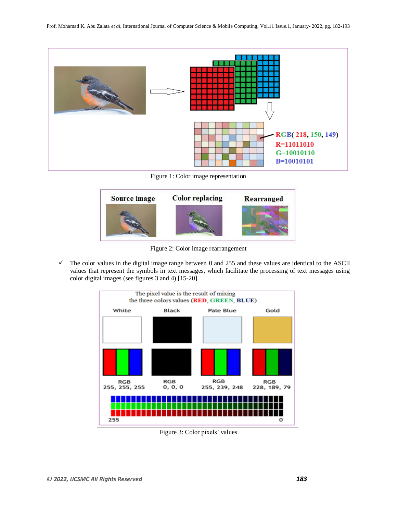

Figure 1: Color image representation



Figure 2: Color image rearrangement

 $\checkmark$  The color values in the digital image range between 0 and 255 and these values are identical to the ASCII values that represent the symbols in text messages, which facilitate the processing of text messages using color digital images (see figures 3 and 4) [15-20].



Figure 3: Color pixels' values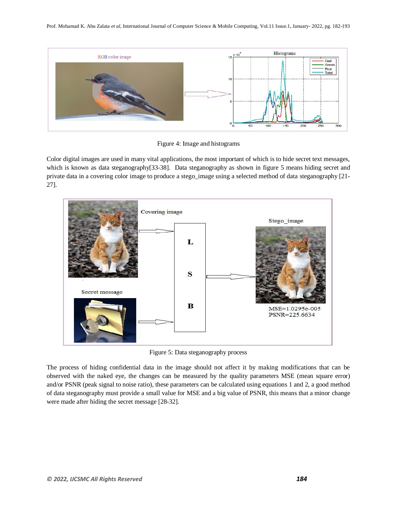

Figure 4: Image and histograms

Color digital images are used in many vital applications, the most important of which is to hide secret text messages, which is known as data steganography[33-38]. Data steganography as shown in figure 5 means hiding secret and private data in a covering color image to produce a stego\_image using a selected method of data steganography [21- 27].



Figure 5: Data steganography process

The process of hiding confidential data in the image should not affect it by making modifications that can be observed with the naked eye, the changes can be measured by the quality parameters MSE (mean square error) and/or PSNR (peak signal to noise ratio), these parameters can be calculated using equations 1 and 2, a good method of data steganography must provide a small value for MSE and a big value of PSNR, this means that a minor change were made after hiding the secret message [28-32].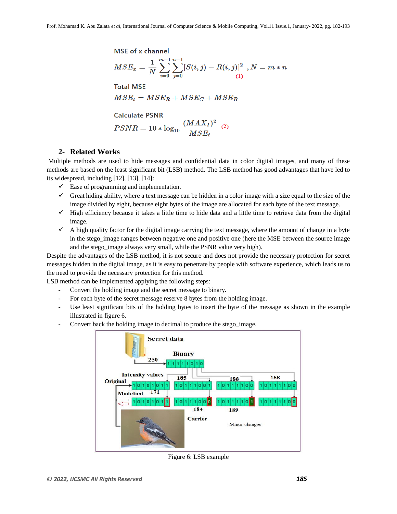**MSE** of x channel

$$
MSE_x = \frac{1}{N}\sum_{i=0}^{m-1}\sum_{j=0}^{n-1}[S(i,j)-R(i,j)]^2\hspace{2mm}, N=m*n
$$

 $(75.25.2)$ 

**Total MSE** 

$$
MSE_t = MSE_R + MSE_G + MSE_B
$$

#### **Calculate PSNR**

$$
PSNR = 10 * \log_{10} \frac{(MAX_I)^2}{MSE_t}
$$
 (2)

#### **2- Related Works**

Multiple methods are used to hide messages and confidential data in color digital images, and many of these methods are based on the least significant bit (LSB) method. The LSB method has good advantages that have led to its widespread, including [12], [13], [14]:

- $\checkmark$  Ease of programming and implementation.
- $\checkmark$  Great hiding ability, where a text message can be hidden in a color image with a size equal to the size of the image divided by eight, because eight bytes of the image are allocated for each byte of the text message.
- $\checkmark$  High efficiency because it takes a little time to hide data and a little time to retrieve data from the digital image.
- $\checkmark$  A high quality factor for the digital image carrying the text message, where the amount of change in a byte in the stego\_image ranges between negative one and positive one (here the MSE between the source image and the stego image always very small, while the PSNR value very high).

Despite the advantages of the LSB method, it is not secure and does not provide the necessary protection for secret messages hidden in the digital image, as it is easy to penetrate by people with software experience, which leads us to the need to provide the necessary protection for this method.

LSB method can be implemented applying the following steps:

- Convert the holding image and the secret message to binary.
- For each byte of the secret message reserve 8 bytes from the holding image.
- Use least significant bits of the holding bytes to insert the byte of the message as shown in the example illustrated in figure 6.
- Convert back the holding image to decimal to produce the stego\_image.



Figure 6: LSB example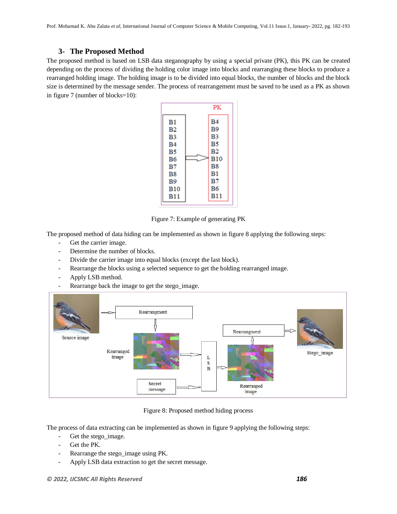#### **3- The Proposed Method**

The proposed method is based on LSB data steganography by using a special private (PK), this PK can be created depending on the process of dividing the holding color image into blocks and rearranging these blocks to produce a rearranged holding image. The holding image is to be divided into equal blocks, the number of blocks and the block size is determined by the message sender. The process of rearrangement must be saved to be used as a PK as shown in figure 7 (number of blocks=10):



Figure 7: Example of generating PK

The proposed method of data hiding can be implemented as shown in figure 8 applying the following steps:

- Get the carrier image.
- Determine the number of blocks.
- Divide the carrier image into equal blocks (except the last block).
- Rearrange the blocks using a selected sequence to get the holding rearranged image.
- Apply LSB method.
- Rearrange back the image to get the stego\_image.



Figure 8: Proposed method hiding process

The process of data extracting can be implemented as shown in figure 9 applying the following steps:

- Get the stego image.
- Get the PK.
- Rearrange the stego\_image using PK.
- Apply LSB data extraction to get the secret message.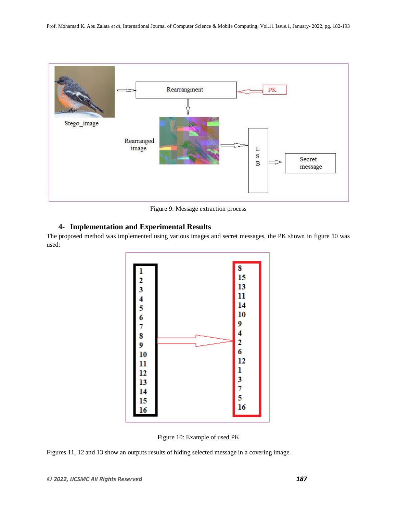

Figure 9: Message extraction process

### **4- Implementation and Experimental Results**

The proposed method was implemented using various images and secret messages, the PK shown in figure 10 was used:



Figure 10: Example of used PK

Figures 11, 12 and 13 show an outputs results of hiding selected message in a covering image.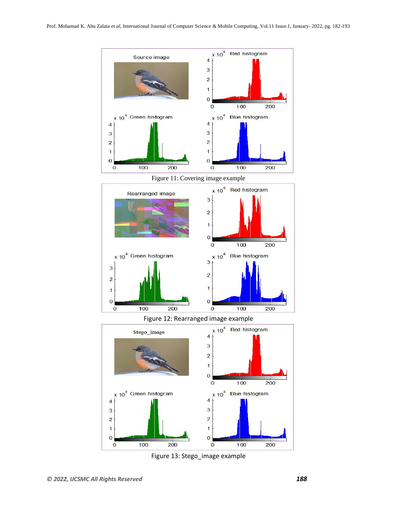



Figure 13: Stego\_image example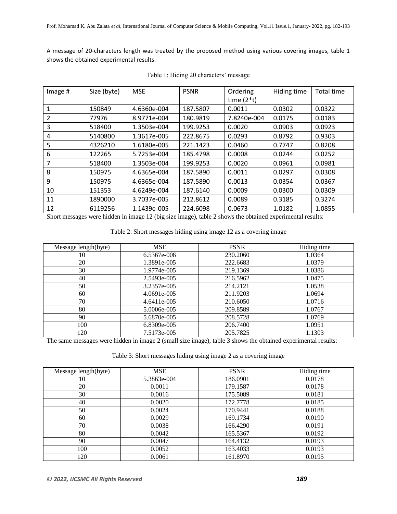A message of 20-characters length was treated by the proposed method using various covering images, table 1 shows the obtained experimental results:

| Image # | Size (byte) | <b>MSE</b>  | <b>PSNR</b> | Ordering<br>time $(2*t)$ | Hiding time | Total time |
|---------|-------------|-------------|-------------|--------------------------|-------------|------------|
|         | 150849      | 4.6360e-004 | 187.5807    | 0.0011                   | 0.0302      | 0.0322     |
| 2       | 77976       | 8.9771e-004 | 180.9819    | 7.8240e-004              | 0.0175      | 0.0183     |
| 3       | 518400      | 1.3503e-004 | 199.9253    | 0.0020                   | 0.0903      | 0.0923     |
| 4       | 5140800     | 1.3617e-005 | 222.8675    | 0.0293                   | 0.8792      | 0.9303     |
| 5       | 4326210     | 1.6180e-005 | 221.1423    | 0.0460                   | 0.7747      | 0.8208     |
| 6       | 122265      | 5.7253e-004 | 185.4798    | 0.0008                   | 0.0244      | 0.0252     |
|         | 518400      | 1.3503e-004 | 199.9253    | 0.0020                   | 0.0961      | 0.0981     |
| 8       | 150975      | 4.6365e-004 | 187.5890    | 0.0011                   | 0.0297      | 0.0308     |
| 9       | 150975      | 4.6365e-004 | 187.5890    | 0.0013                   | 0.0354      | 0.0367     |
| 10      | 151353      | 4.6249e-004 | 187.6140    | 0.0009                   | 0.0300      | 0.0309     |
| 11      | 1890000     | 3.7037e-005 | 212.8612    | 0.0089                   | 0.3185      | 0.3274     |
| 12      | 6119256     | 1.1439e-005 | 224.6098    | 0.0673                   | 1.0182      | 1.0855     |

Table 1: Hiding 20 characters' message

Short messages were hidden in image 12 (big size image), table 2 shows the obtained experimental results:

Table 2: Short messages hiding using image 12 as a covering image

| Message length(byte) | MSE         | <b>PSNR</b> | Hiding time |
|----------------------|-------------|-------------|-------------|
| 10                   | 6.5367e-006 | 230.2060    | 1.0364      |
| 20                   | 1.3891e-005 | 222.6683    | 1.0379      |
| 30                   | 1.9774e-005 | 219.1369    | 1.0386      |
| 40                   | 2.5493e-005 | 216.5962    | 1.0475      |
| 50                   | 3.2357e-005 | 214.2121    | 1.0538      |
| 60                   | 4.0691e-005 | 211.9203    | 1.0694      |
| 70                   | 4.6411e-005 | 210.6050    | 1.0716      |
| 80                   | 5.0006e-005 | 209.8589    | 1.0767      |
| 90                   | 5.6870e-005 | 208.5728    | 1.0769      |
| 100                  | 6.8309e-005 | 206.7400    | 1.0951      |
| 120                  | 7.5173e-005 | 205.7825    | 1.1303      |

The same messages were hidden in image 2 (small size image), table 3 shows the obtained experimental results:

| Table 3: Short messages hiding using image 2 as a covering image |  |  |  |  |  |
|------------------------------------------------------------------|--|--|--|--|--|
|------------------------------------------------------------------|--|--|--|--|--|

| Message length(byte) | <b>MSE</b>  | <b>PSNR</b> | Hiding time |
|----------------------|-------------|-------------|-------------|
| 10                   | 5.3863e-004 | 186.0901    | 0.0178      |
| 20                   | 0.0011      | 179.1587    | 0.0178      |
| 30                   | 0.0016      | 175.5089    | 0.0181      |
| 40                   | 0.0020      | 172.7778    | 0.0185      |
| 50                   | 0.0024      | 170.9441    | 0.0188      |
| 60                   | 0.0029      | 169.1734    | 0.0190      |
| 70                   | 0.0038      | 166.4290    | 0.0191      |
| 80                   | 0.0042      | 165.5367    | 0.0192      |
| 90                   | 0.0047      | 164.4132    | 0.0193      |
| 100                  | 0.0052      | 163.4033    | 0.0193      |
| 120                  | 0.0061      | 161.8970    | 0.0195      |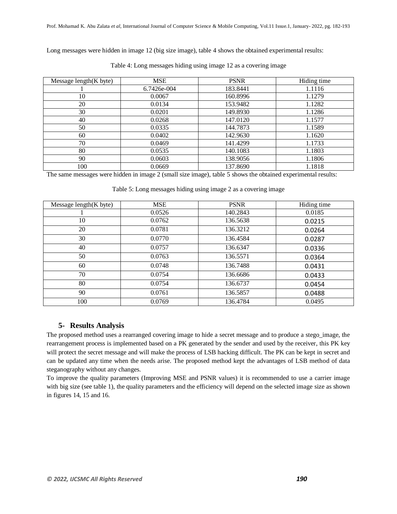Long messages were hidden in image 12 (big size image), table 4 shows the obtained experimental results:

| Message length(K byte) | <b>MSE</b>  | <b>PSNR</b> | Hiding time |
|------------------------|-------------|-------------|-------------|
|                        | 6.7426e-004 | 183.8441    | 1.1116      |
| 10                     | 0.0067      | 160.8996    | 1.1279      |
| 20                     | 0.0134      | 153.9482    | 1.1282      |
| 30                     | 0.0201      | 149.8930    | 1.1286      |
| 40                     | 0.0268      | 147.0120    | 1.1577      |
| 50                     | 0.0335      | 144.7873    | 1.1589      |
| 60                     | 0.0402      | 142.9630    | 1.1620      |
| 70                     | 0.0469      | 141.4299    | 1.1733      |
| 80                     | 0.0535      | 140.1083    | 1.1803      |
| 90                     | 0.0603      | 138.9056    | 1.1806      |
| 100                    | 0.0669      | 137.8690    | 1.1818      |

Table 4: Long messages hiding using image 12 as a covering image

The same messages were hidden in image 2 (small size image), table 5 shows the obtained experimental results:

Table 5: Long messages hiding using image 2 as a covering image

| Message length(K byte) | <b>MSE</b> | <b>PSNR</b> | Hiding time |
|------------------------|------------|-------------|-------------|
|                        | 0.0526     | 140.2843    | 0.0185      |
| 10                     | 0.0762     | 136.5638    | 0.0215      |
| 20                     | 0.0781     | 136.3212    | 0.0264      |
| 30                     | 0.0770     | 136.4584    | 0.0287      |
| 40                     | 0.0757     | 136.6347    | 0.0336      |
| 50                     | 0.0763     | 136.5571    | 0.0364      |
| 60                     | 0.0748     | 136.7488    | 0.0431      |
| 70                     | 0.0754     | 136.6686    | 0.0433      |
| 80                     | 0.0754     | 136.6737    | 0.0454      |
| 90                     | 0.0761     | 136.5857    | 0.0488      |
| 100                    | 0.0769     | 136.4784    | 0.0495      |

#### **5- Results Analysis**

The proposed method uses a rearranged covering image to hide a secret message and to produce a stego\_image, the rearrangement process is implemented based on a PK generated by the sender and used by the receiver, this PK key will protect the secret message and will make the process of LSB hacking difficult. The PK can be kept in secret and can be updated any time when the needs arise. The proposed method kept the advantages of LSB method of data steganography without any changes.

To improve the quality parameters (Improving MSE and PSNR values) it is recommended to use a carrier image with big size (see table 1), the quality parameters and the efficiency will depend on the selected image size as shown in figures 14, 15 and 16.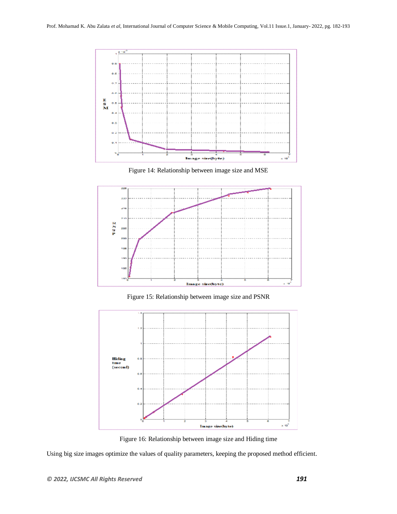

Figure 14: Relationship between image size and MSE



Figure 15: Relationship between image size and PSNR



Figure 16: Relationship between image size and Hiding time

Using big size images optimize the values of quality parameters, keeping the proposed method efficient.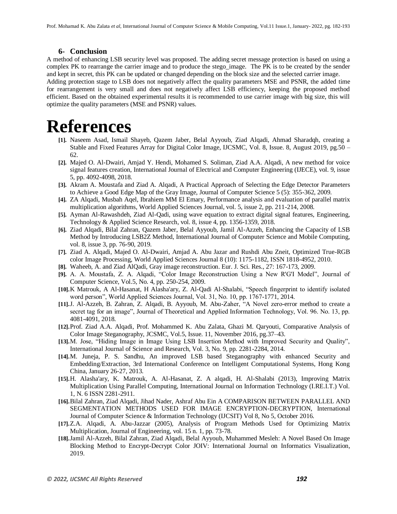#### **6- Conclusion**

A method of enhancing LSB security level was proposed. The adding secret message protection is based on using a complex PK to rearrange the carrier image and to produce the stego image. The PK is to be created by the sender and kept in secret, this PK can be updated or changed depending on the block size and the selected carrier image. Adding protection stage to LSB does not negatively affect the quality parameters MSE and PSNR, the added time for rearrangement is very small and does not negatively affect LSB efficiency, keeping the proposed method efficient. Based on the obtained experimental results it is recommended to use carrier image with big size, this will optimize the quality parameters (MSE and PSNR) values.

## **References**

- **[1].** Naseem Asad, Ismail Shayeb, Qazem Jaber, Belal Ayyoub, Ziad Alqadi, Ahmad Sharadqh, creating a Stable and Fixed Features Array for Digital Color Image, IJCSMC, Vol. 8, Issue. 8, August 2019, pg.50 – 62.
- **[2].** Majed O. Al-Dwairi, Amjad Y. Hendi, Mohamed S. Soliman, Ziad A.A. Alqadi, A new method for voice signal features creation, International Journal of Electrical and Computer Engineering (IJECE), vol. 9, issue 5, pp. 4092-4098, 2018.
- **[3].** Akram A. Moustafa and Ziad A. Alqadi, A Practical Approach of Selecting the Edge Detector Parameters to Achieve a Good Edge Map of the Gray Image, Journal of Computer Science 5 (5): 355-362, 2009.
- **[4].** ZA Alqadi, Musbah Aqel, Ibrahiem MM El Emary, Performance analysis and evaluation of parallel matrix multiplication algorithms, World Applied Sciences Journal, vol. 5, issue 2, pp. 211-214, 2008.
- **[5].** Ayman Al-Rawashdeh, Ziad Al-Qadi, using wave equation to extract digital signal features, Engineering, Technology & Applied Science Research, vol. 8, issue 4, pp. 1356-1359, 2018.
- **[6].** Ziad Alqadi, Bilal Zahran, Qazem Jaber, Belal Ayyoub, Jamil Al-Azzeh, Enhancing the Capacity of LSB Method by Introducing LSB2Z Method, International Journal of Computer Science and Mobile Computing, vol. 8, issue 3, pp. 76-90, 2019.
- **[7].** Ziad A. Alqadi, Majed O. Al-Dwairi, Amjad A. Abu Jazar and Rushdi Abu Zneit, Optimized True-RGB color Image Processing, World Applied Sciences Journal 8 (10): 1175-1182, ISSN 1818-4952, 2010.
- **[8].** Waheeb, A. and Ziad AlQadi, Gray image reconstruction. Eur. J. Sci. Res., 27: 167-173, 2009.
- **[9].** A. A. Moustafa, Z. A. Alqadi, "Color Image Reconstruction Using a New R'G'I Model", Journal of Computer Science, Vol.5, No. 4, pp. 250-254, 2009.
- **[10].**K Matrouk, A Al-Hasanat, H Alasha'ary, Z. Al-Qadi Al-Shalabi, "Speech fingerprint to identify isolated word person", World Applied Sciences Journal, Vol. 31, No. 10, pp. 1767-1771, 2014.
- **[11].**J. Al-Azzeh, B. Zahran, Z. Alqadi, B. Ayyoub, M. Abu-Zaher, "A Novel zero-error method to create a secret tag for an image", Journal of Theoretical and Applied Information Technology, Vol. 96. No. 13, pp. 4081-4091, 2018.
- **[12].**Prof. Ziad A.A. Alqadi, Prof. Mohammed K. Abu Zalata, Ghazi M. Qaryouti, Comparative Analysis of Color Image Steganography, JCSMC, Vol.5, Issue. 11, November 2016, pg.37–43.
- **[13].**M. Jose, "Hiding Image in Image Using LSB Insertion Method with Improved Security and Quality", International Journal of Science and Research, Vol. 3, No. 9, pp. 2281-2284, 2014.
- **[14].**M. Juneja, P. S. Sandhu, An improved LSB based Steganography with enhanced Security and Embedding/Extraction, 3rd International Conference on Intelligent Computational Systems, Hong Kong China, January 26-27, 2013.
- **[15].**H. Alasha'ary, K. Matrouk, A. Al-Hasanat, Z. A alqadi, H. Al-Shalabi (2013), Improving Matrix Multiplication Using Parallel Computing, International Journal on Information Technology (I.RE.I.T.) Vol. 1, N. 6 ISSN 2281-2911.
- **[16].**Bilal Zahran, Ziad Alqadi, Jihad Nader, Ashraf Abu Ein A COMPARISON BETWEEN PARALLEL AND SEGMENTATION METHODS USED FOR IMAGE ENCRYPTION-DECRYPTION, International Journal of Computer Science & Information Technology (IJCSIT) Vol 8, No 5, October 2016.
- **[17].**Z.A. Alqadi, A. Abu-Jazzar (2005), Analysis of Program Methods Used for Optimizing Matrix Multiplication, Journal of Engineering, vol. 15 n. 1, pp. 73-78.
- **[18].**Jamil Al-Azzeh, Bilal Zahran, Ziad Alqadi, Belal Ayyoub, Muhammed Mesleh: A Novel Based On Image Blocking Method to Encrypt-Decrypt Color JOIV: International Journal on Informatics Visualization, 2019.